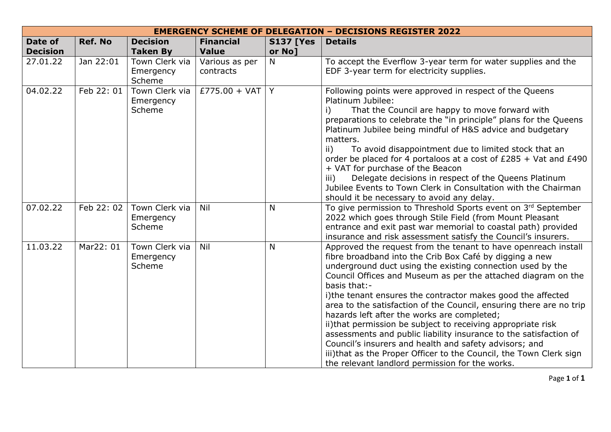|                            |                |                                       | <b>EMERGENCY SCHEME OF DELEGATION - DECISIONS REGISTER 2022</b> |                            |                                                                                                                                                                                                                                                                                                                                                                                                                                                                                                                                                                                                                                                                                                                                                                                       |
|----------------------------|----------------|---------------------------------------|-----------------------------------------------------------------|----------------------------|---------------------------------------------------------------------------------------------------------------------------------------------------------------------------------------------------------------------------------------------------------------------------------------------------------------------------------------------------------------------------------------------------------------------------------------------------------------------------------------------------------------------------------------------------------------------------------------------------------------------------------------------------------------------------------------------------------------------------------------------------------------------------------------|
| Date of<br><b>Decision</b> | <b>Ref. No</b> | <b>Decision</b><br><b>Taken By</b>    | <b>Financial</b><br><b>Value</b>                                | <b>S137 [Yes</b><br>or No] | <b>Details</b>                                                                                                                                                                                                                                                                                                                                                                                                                                                                                                                                                                                                                                                                                                                                                                        |
| 27.01.22                   | Jan 22:01      | Town Clerk via<br>Emergency<br>Scheme | Various as per<br>contracts                                     | N                          | To accept the Everflow 3-year term for water supplies and the<br>EDF 3-year term for electricity supplies.                                                                                                                                                                                                                                                                                                                                                                                                                                                                                                                                                                                                                                                                            |
| 04.02.22                   | Feb 22: 01     | Town Clerk via<br>Emergency<br>Scheme | £775.00 + VAT   Y                                               |                            | Following points were approved in respect of the Queens<br>Platinum Jubilee:<br>That the Council are happy to move forward with<br>i)<br>preparations to celebrate the "in principle" plans for the Queens<br>Platinum Jubilee being mindful of H&S advice and budgetary<br>matters.<br>To avoid disappointment due to limited stock that an<br>$\mathsf{ii}$<br>order be placed for 4 portaloos at a cost of $£285 + Vat$ and $£490$<br>+ VAT for purchase of the Beacon<br>Delegate decisions in respect of the Queens Platinum<br>iii)<br>Jubilee Events to Town Clerk in Consultation with the Chairman<br>should it be necessary to avoid any delay.                                                                                                                             |
| 07.02.22                   | Feb 22: 02     | Town Clerk via<br>Emergency<br>Scheme | Nil                                                             | N                          | To give permission to Threshold Sports event on 3rd September<br>2022 which goes through Stile Field (from Mount Pleasant<br>entrance and exit past war memorial to coastal path) provided<br>insurance and risk assessment satisfy the Council's insurers.                                                                                                                                                                                                                                                                                                                                                                                                                                                                                                                           |
| 11.03.22                   | Mar22: 01      | Town Clerk via<br>Emergency<br>Scheme | Nil                                                             | N                          | Approved the request from the tenant to have openreach install<br>fibre broadband into the Crib Box Café by digging a new<br>underground duct using the existing connection used by the<br>Council Offices and Museum as per the attached diagram on the<br>basis that:-<br>i)the tenant ensures the contractor makes good the affected<br>area to the satisfaction of the Council, ensuring there are no trip<br>hazards left after the works are completed;<br>ii) that permission be subject to receiving appropriate risk<br>assessments and public liability insurance to the satisfaction of<br>Council's insurers and health and safety advisors; and<br>iii)that as the Proper Officer to the Council, the Town Clerk sign<br>the relevant landlord permission for the works. |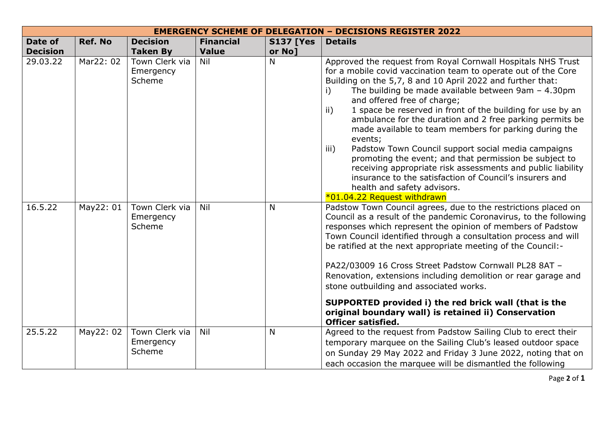|                            |                |                                       |                                  | <b>EMERGENCY SCHEME OF DELEGATION - DECISIONS REGISTER 2022</b> |                                                                                                                                                                                                                                                                                                                                                                                                                                                                                                                                                                                                                                                                                                                                                                                                                  |
|----------------------------|----------------|---------------------------------------|----------------------------------|-----------------------------------------------------------------|------------------------------------------------------------------------------------------------------------------------------------------------------------------------------------------------------------------------------------------------------------------------------------------------------------------------------------------------------------------------------------------------------------------------------------------------------------------------------------------------------------------------------------------------------------------------------------------------------------------------------------------------------------------------------------------------------------------------------------------------------------------------------------------------------------------|
| Date of<br><b>Decision</b> | <b>Ref. No</b> | <b>Decision</b><br><b>Taken By</b>    | <b>Financial</b><br><b>Value</b> | <b>S137 [Yes</b><br>or No]                                      | <b>Details</b>                                                                                                                                                                                                                                                                                                                                                                                                                                                                                                                                                                                                                                                                                                                                                                                                   |
| 29.03.22                   | Mar22: 02      | Town Clerk via<br>Emergency<br>Scheme | Nil                              | N                                                               | Approved the request from Royal Cornwall Hospitals NHS Trust<br>for a mobile covid vaccination team to operate out of the Core<br>Building on the 5,7, 8 and 10 April 2022 and further that:<br>The building be made available between $9am - 4.30pm$<br>i)<br>and offered free of charge;<br>ii)<br>1 space be reserved in front of the building for use by an<br>ambulance for the duration and 2 free parking permits be<br>made available to team members for parking during the<br>events;<br>Padstow Town Council support social media campaigns<br>iii)<br>promoting the event; and that permission be subject to<br>receiving appropriate risk assessments and public liability<br>insurance to the satisfaction of Council's insurers and<br>health and safety advisors.<br>*01.04.22 Request withdrawn |
| 16.5.22                    | May22: 01      | Town Clerk via<br>Emergency<br>Scheme | Nil                              | $\mathsf{N}$                                                    | Padstow Town Council agrees, due to the restrictions placed on<br>Council as a result of the pandemic Coronavirus, to the following<br>responses which represent the opinion of members of Padstow<br>Town Council identified through a consultation process and will<br>be ratified at the next appropriate meeting of the Council:-<br>PA22/03009 16 Cross Street Padstow Cornwall PL28 8AT -<br>Renovation, extensions including demolition or rear garage and<br>stone outbuilding and associated works.<br>SUPPORTED provided i) the red brick wall (that is the<br>original boundary wall) is retained ii) Conservation<br><b>Officer satisfied.</b>                                                                                                                                                       |
| 25.5.22                    | May22: 02      | Town Clerk via<br>Emergency<br>Scheme | <b>Nil</b>                       | N                                                               | Agreed to the request from Padstow Sailing Club to erect their<br>temporary marquee on the Sailing Club's leased outdoor space<br>on Sunday 29 May 2022 and Friday 3 June 2022, noting that on<br>each occasion the marquee will be dismantled the following                                                                                                                                                                                                                                                                                                                                                                                                                                                                                                                                                     |